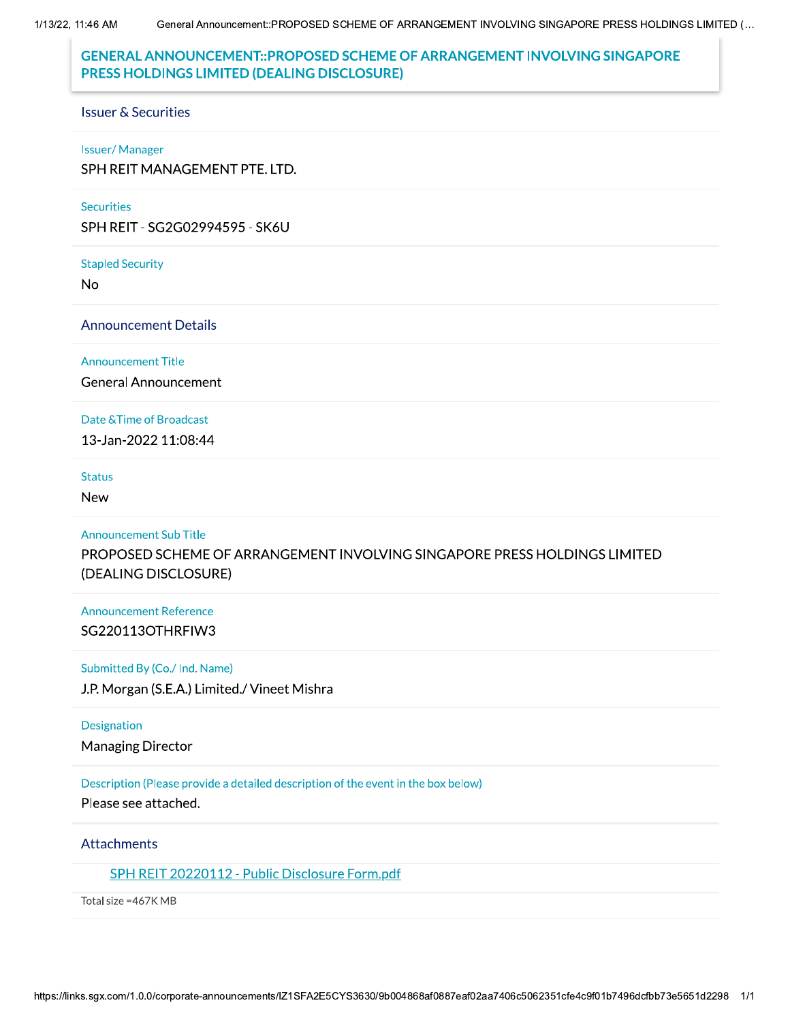1/13/22, 11:46 AM

# **GENERAL ANNOUNCEMENT::PROPOSED SCHEME OF ARRANGEMENT INVOLVING SINGAPORE** PRESS HOLDINGS LIMITED (DEALING DISCLOSURE)

#### **Issuer & Securities**

#### **Issuer/Manager**

SPH REIT MANAGEMENT PTE. LTD.

#### **Securities**

SPH REIT - SG2G02994595 - SK6U

#### **Stapled Security**

No

#### **Announcement Details**

#### **Announcement Title**

**General Announcement** 

#### Date & Time of Broadcast

13-Jan-2022 11:08:44

#### **Status**

**New** 

#### **Announcement Sub Title**

PROPOSED SCHEME OF ARRANGEMENT INVOLVING SINGAPORE PRESS HOLDINGS LIMITED (DEALING DISCLOSURE)

## **Announcement Reference** SG220113OTHRFIW3

#### Submitted By (Co./ Ind. Name)

J.P. Morgan (S.E.A.) Limited./ Vineet Mishra

### **Designation**

**Managing Director** 

## Description (Please provide a detailed description of the event in the box below)

Please see attached.

### Attachments

## SPH REIT 20220112 - Public Disclosure Form.pdf

Total size = 467K MB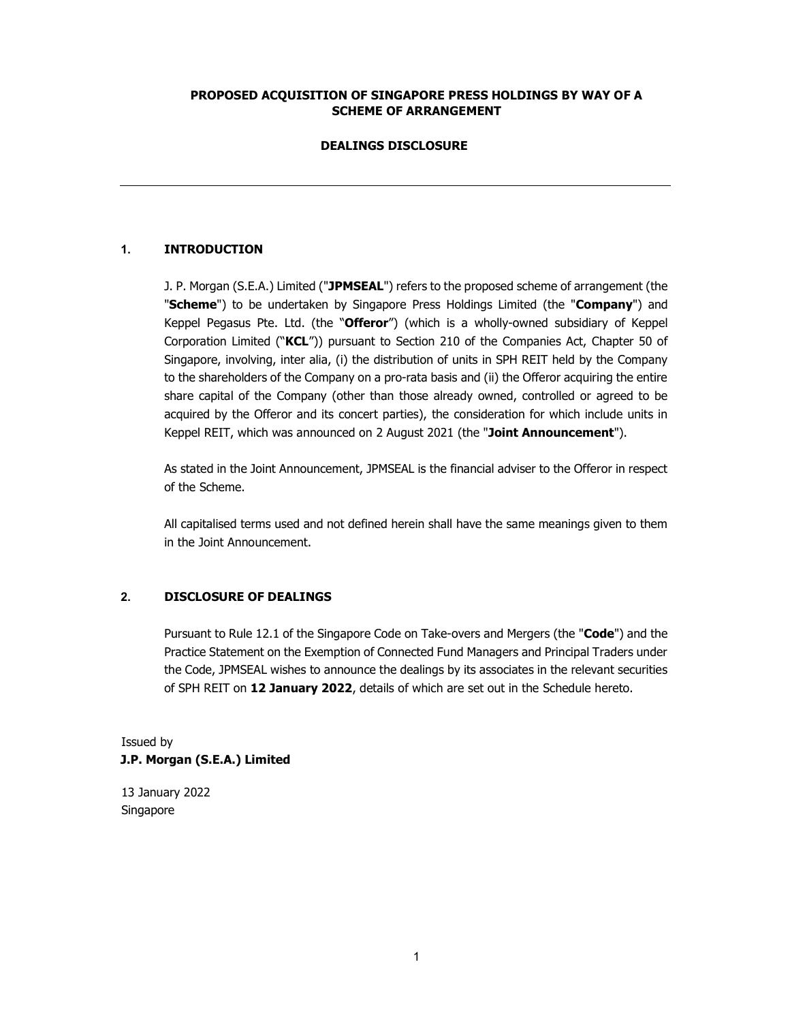### PROPOSED ACQUISITION OF SINGAPORE PRESS HOLDINGS BY WAY OF A SCHEME OF ARRANGEMENT

### DEALINGS DISCLOSURE

### 1. INTRODUCTION

J. P. Morgan (S.E.A.) Limited ("JPMSEAL") refers to the proposed scheme of arrangement (the "Scheme") to be undertaken by Singapore Press Holdings Limited (the "Company") and Keppel Pegasus Pte. Ltd. (the "Offeror") (which is a wholly-owned subsidiary of Keppel Corporation Limited ("KCL")) pursuant to Section 210 of the Companies Act, Chapter 50 of Singapore, involving, inter alia, (i) the distribution of units in SPH REIT held by the Company to the shareholders of the Company on a pro-rata basis and (ii) the Offeror acquiring the entire share capital of the Company (other than those already owned, controlled or agreed to be acquired by the Offeror and its concert parties), the consideration for which include units in Keppel REIT, which was announced on 2 August 2021 (the "Joint Announcement").

As stated in the Joint Announcement, JPMSEAL is the financial adviser to the Offeror in respect of the Scheme.

All capitalised terms used and not defined herein shall have the same meanings given to them in the Joint Announcement.

## 2. DISCLOSURE OF DEALINGS

Pursuant to Rule 12.1 of the Singapore Code on Take-overs and Mergers (the "Code") and the Practice Statement on the Exemption of Connected Fund Managers and Principal Traders under the Code, JPMSEAL wishes to announce the dealings by its associates in the relevant securities of SPH REIT on 12 January 2022, details of which are set out in the Schedule hereto.

## Issued by J.P. Morgan (S.E.A.) Limited

13 January 2022 Singapore